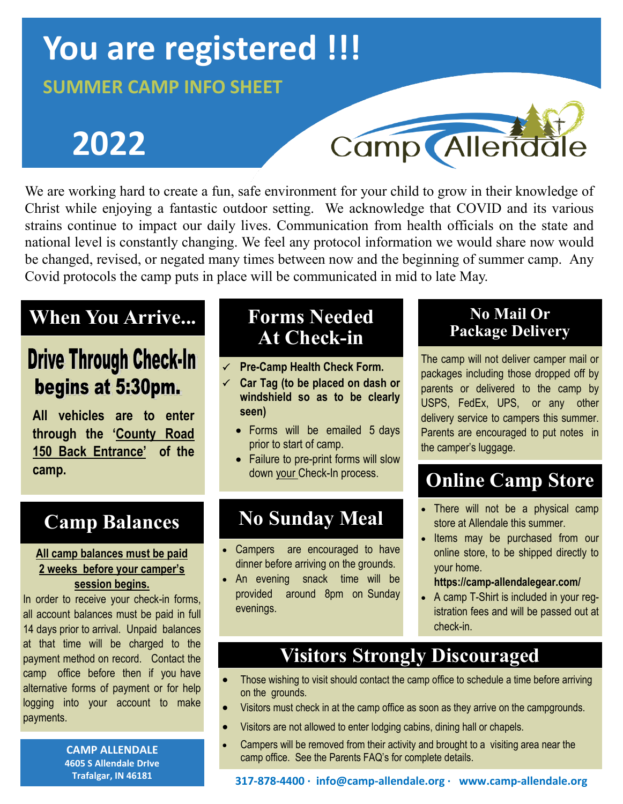# **You are registered !!!**

### **SUMMER CAMP INFO SHEET**

# **2022**



We are working hard to create a fun, safe environment for your child to grow in their knowledge of Christ while enjoying a fantastic outdoor setting. We acknowledge that COVID and its various strains continue to impact our daily lives. Communication from health officials on the state and national level is constantly changing. We feel any protocol information we would share now would be changed, revised, or negated many times between now and the beginning of summer camp. Any Covid protocols the camp puts in place will be communicated in mid to late May.

# **When You Arrive...**

# **Drive Through Check-In** begins at 5:30pm.

**All vehicles are to enter through the 'County Road 150 Back Entrance' of the camp.** 

# **Camp Balances**

#### **All camp balances must be paid 2 weeks before your camper's session begins.**

In order to receive your check-in forms, all account balances must be paid in full 14 days prior to arrival. Unpaid balances at that time will be charged to the payment method on record. Contact the camp office before then if you have alternative forms of payment or for help logging into your account to make payments.

> **CAMP ALLENDALE 4605 S Allendale DrIve Trafalgar, IN 46181**

# **Forms Needed At Check-in**

- **Pre-Camp Health Check Form.**
- **Car Tag (to be placed on dash or windshield so as to be clearly seen)**
	- Forms will be emailed 5 days prior to start of camp.
	- Failure to pre-print forms will slow down your Check-In process.

# **No Sunday Meal**

- Campers are encouraged to have dinner before arriving on the grounds.
- An evening snack time will be provided around 8pm on Sunday evenings.

#### **No Mail Or Package Delivery**

The camp will not deliver camper mail or packages including those dropped off by parents or delivered to the camp by USPS, FedEx, UPS, or any other delivery service to campers this summer. Parents are encouraged to put notes in the camper's luggage.

# **Online Camp Store**

- There will not be a physical camp store at Allendale this summer.
- Items may be purchased from our online store, to be shipped directly to your home.

#### **https://camp-allendalegear.com/**

• A camp T-Shirt is included in your registration fees and will be passed out at check-in.

# **Visitors Strongly Discouraged**

- Those wishing to visit should contact the camp office to schedule a time before arriving on the grounds.
- Visitors must check in at the camp office as soon as they arrive on the campgrounds.
- Visitors are not allowed to enter lodging cabins, dining hall or chapels.
- Campers will be removed from their activity and brought to a visiting area near the camp office. See the Parents FAQ's for complete details.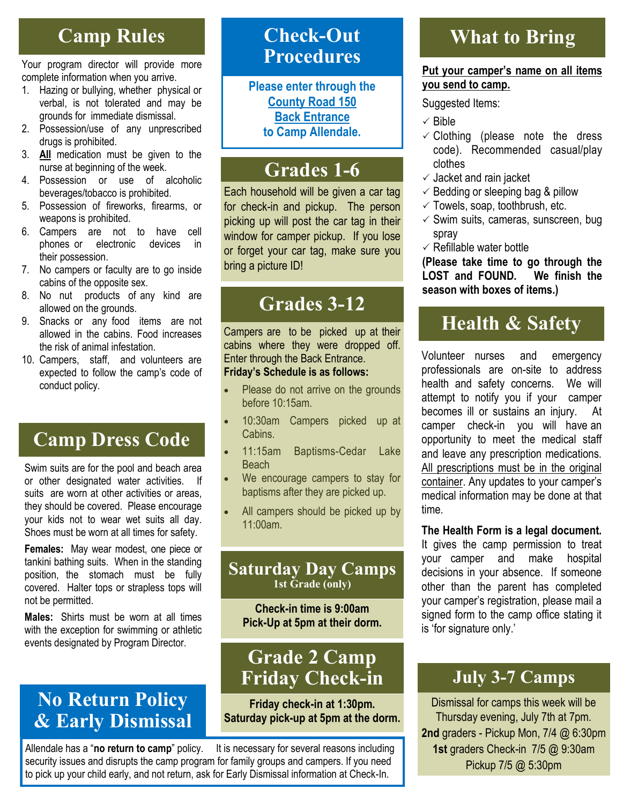## **Camp Rules**

Your program director will provide more complete information when you arrive.

- 1. Hazing or bullying, whether physical or verbal, is not tolerated and may be grounds for immediate dismissal.
- 2. Possession/use of any unprescribed drugs is prohibited.
- 3. **All** medication must be given to the nurse at beginning of the week.
- 4. Possession or use of alcoholic beverages/tobacco is prohibited.
- 5. Possession of fireworks, firearms, or weapons is prohibited.
- 6. Campers are not to have cell phones or electronic devices in their possession.
- 7. No campers or faculty are to go inside cabins of the opposite sex.
- 8. No nut products of any kind are allowed on the grounds.
- 9. Snacks or any food items are not allowed in the cabins. Food increases the risk of animal infestation.
- 10. Campers, staff, and volunteers are expected to follow the camp's code of conduct policy.

# **Camp Dress Code**

Swim suits are for the pool and beach area or other designated water activities. If suits are worn at other activities or areas, they should be covered. Please encourage your kids not to wear wet suits all day. Shoes must be worn at all times for safety.

**Females:** May wear modest, one piece or tankini bathing suits. When in the standing position, the stomach must be fully covered. Halter tops or strapless tops will not be permitted.

**Males:** Shirts must be worn at all times with the exception for swimming or athletic events designated by Program Director.

### **No Return Policy & Early Dismissal**

### **Check-Out Procedures**

**Please enter through the County Road 150 Back Entrance to Camp Allendale.**

# **Grades 1-6**

Each household will be given a car tag for check-in and pickup. The person picking up will post the car tag in their window for camper pickup. If you lose or forget your car tag, make sure you bring a picture ID!

## **Grades 3-12**

Campers are to be picked up at their cabins where they were dropped off. Enter through the Back Entrance. **Friday's Schedule is as follows:**

#### Please do not arrive on the grounds before 10:15am.

- 10:30am Campers picked up at Cabins.
- 11:15am Baptisms-Cedar Lake **Beach**
- We encourage campers to stay for baptisms after they are picked up.
- All campers should be picked up by 11:00am.

#### **Saturday Day Camps 1st Grade (only)**

**Check-in time is 9:00am Pick-Up at 5pm at their dorm.**

### **Grade 2 Camp Friday Check-in**

**Friday check-in at 1:30pm. Saturday pick-up at 5pm at the dorm.**

Allendale has a "**no return to camp**" policy. It is necessary for several reasons including security issues and disrupts the camp program for family groups and campers. If you need to pick up your child early, and not return, ask for Early Dismissal information at Check-In.

# **What to Bring**

#### **Put your camper's name on all items you send to camp.**

Suggested Items:

- $\checkmark$  Bible
- $\checkmark$  Clothing (please note the dress code). Recommended casual/play clothes
- $\checkmark$  Jacket and rain jacket
- $\checkmark$  Bedding or sleeping bag & pillow
- $\checkmark$  Towels, soap, toothbrush, etc.
- $\checkmark$  Swim suits, cameras, sunscreen, bug spray
- $\checkmark$  Refillable water bottle

**(Please take time to go through the LOST and FOUND. We finish the season with boxes of items.)** 

# **Health & Safety**

Volunteer nurses and emergency professionals are on-site to address health and safety concerns. We will attempt to notify you if your camper becomes ill or sustains an injury. At camper check-in you will have an opportunity to meet the medical staff and leave any prescription medications. All prescriptions must be in the original container. Any updates to your camper's medical information may be done at that time.

**The Health Form is a legal document.**  It gives the camp permission to treat your camper and make hospital decisions in your absence. If someone other than the parent has completed your camper's registration, please mail a signed form to the camp office stating it is 'for signature only.'

### **July 3-7 Camps**

Dismissal for camps this week will be Thursday evening, July 7th at 7pm. **2nd** graders - Pickup Mon, 7/4 @ 6:30pm **1st** graders Check-in 7/5 @ 9:30am Pickup 7/5 @ 5:30pm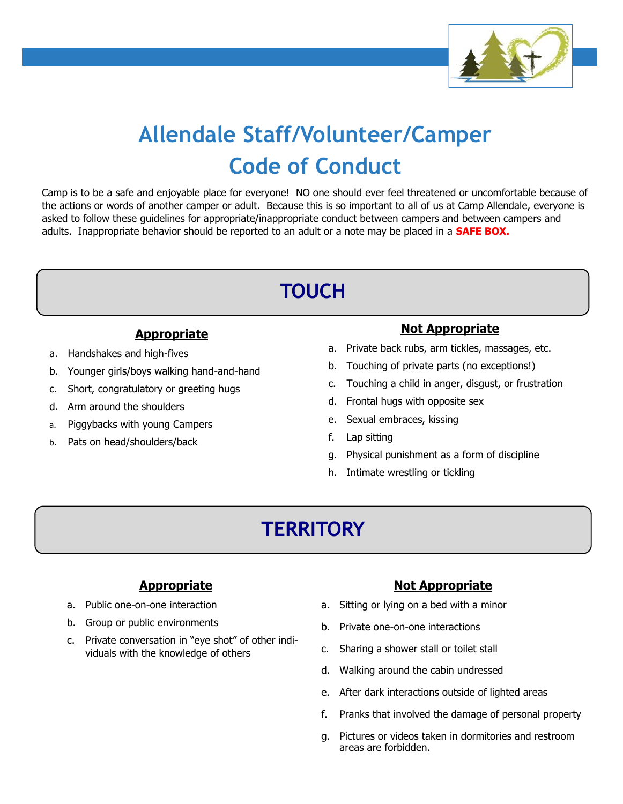

# **Allendale Staff/Volunteer/Camper Code of Conduct**

Camp is to be a safe and enjoyable place for everyone! NO one should ever feel threatened or uncomfortable because of the actions or words of another camper or adult. Because this is so important to all of us at Camp Allendale, everyone is asked to follow these guidelines for appropriate/inappropriate conduct between campers and between campers and adults. Inappropriate behavior should be reported to an adult or a note may be placed in a **SAFE BOX.**

# **TOUCH**

#### **Appropriate**

- a. Handshakes and high-fives
- b. Younger girls/boys walking hand-and-hand
- c. Short, congratulatory or greeting hugs
- d. Arm around the shoulders
- a. Piggybacks with young Campers
- b. Pats on head/shoulders/back

#### **Not Appropriate**

- a. Private back rubs, arm tickles, massages, etc.
- b. Touching of private parts (no exceptions!)
- c. Touching a child in anger, disgust, or frustration
- d. Frontal hugs with opposite sex
- e. Sexual embraces, kissing
- f. Lap sitting
- g. Physical punishment as a form of discipline
- h. Intimate wrestling or tickling

# **TERRITORY**

#### **Appropriate**

- a. Public one-on-one interaction
- b. Group or public environments
- c. Private conversation in "eye shot" of other individuals with the knowledge of others

#### **Not Appropriate**

- a. Sitting or lying on a bed with a minor
- b. Private one-on-one interactions
- c. Sharing a shower stall or toilet stall
- d. Walking around the cabin undressed
- e. After dark interactions outside of lighted areas
- f. Pranks that involved the damage of personal property
- g. Pictures or videos taken in dormitories and restroom areas are forbidden.